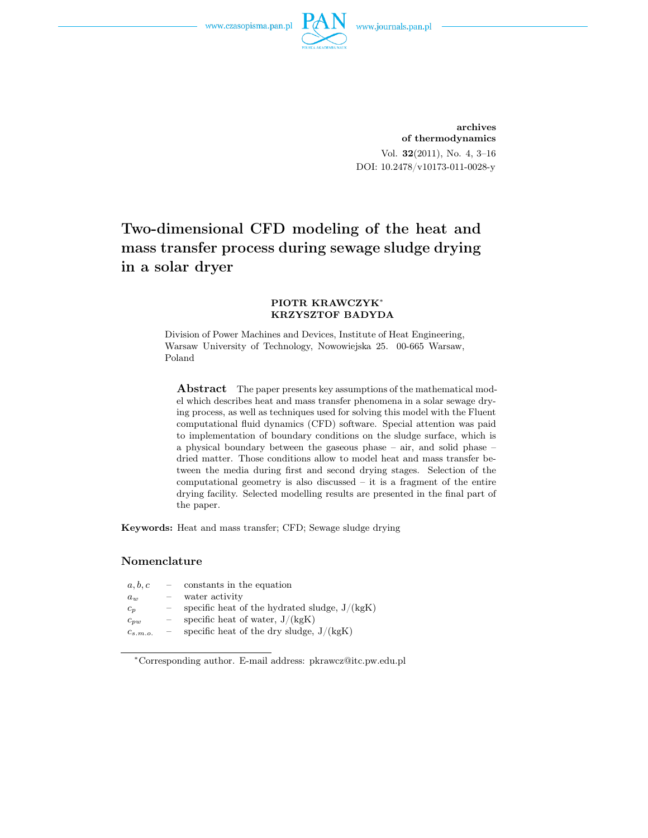

archives of thermodynamics Vol. 32(2011), No. 4, 3–16 DOI: 10.2478/v10173-011-0028-y

# Two-dimensional CFD modeling of the heat and mass transfer process during sewage sludge drying in a solar dryer

### PIOTR KRAWCZYK<sup>∗</sup> KRZYSZTOF BADYDA

Division of Power Machines and Devices, Institute of Heat Engineering, Warsaw University of Technology, Nowowiejska 25. 00-665 Warsaw, Poland

Abstract The paper presents key assumptions of the mathematical model which describes heat and mass transfer phenomena in a solar sewage drying process, as well as techniques used for solving this model with the Fluent computational fluid dynamics (CFD) software. Special attention was paid to implementation of boundary conditions on the sludge surface, which is a physical boundary between the gaseous phase – air, and solid phase – dried matter. Those conditions allow to model heat and mass transfer between the media during first and second drying stages. Selection of the computational geometry is also discussed – it is a fragment of the entire drying facility. Selected modelling results are presented in the final part of the paper.

Keywords: Heat and mass transfer; CFD; Sewage sludge drying

### Nomenclature

| a, b, c      | $\frac{1}{2}$            | constants in the equation                       |
|--------------|--------------------------|-------------------------------------------------|
| $a_w$        | $\overline{\phantom{m}}$ | water activity                                  |
| $c_p$        | $\overline{\phantom{m}}$ | specific heat of the hydrated sludge, $J/(kgK)$ |
| $c_{pw}$     |                          | specific heat of water, $J/(kgK)$               |
| $c_{s.m.o.}$ | $\overline{\phantom{m}}$ | specific heat of the dry sludge, $J/(kgK)$      |
|              |                          |                                                 |

<sup>∗</sup>Corresponding author. E-mail address: pkrawcz@itc.pw.edu.pl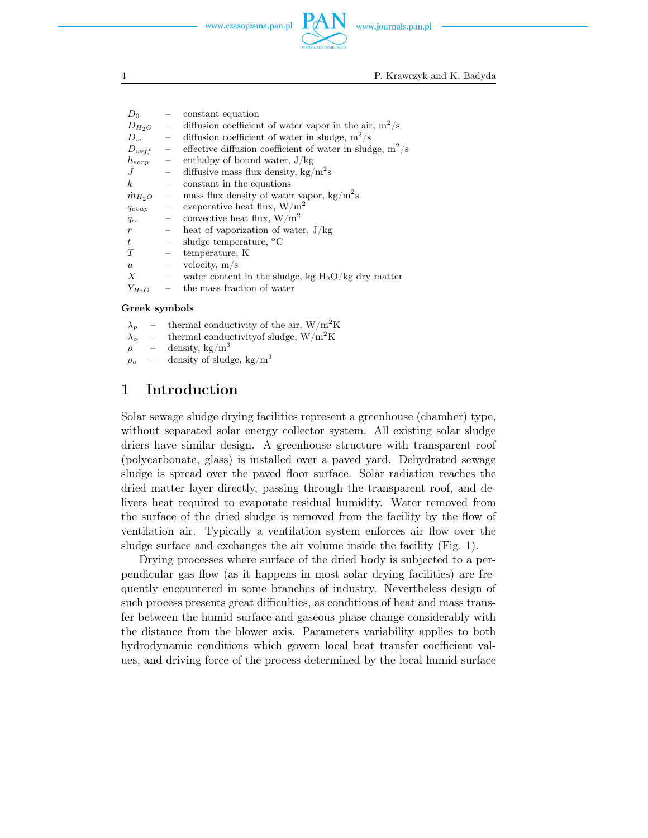

4 P. Krawczyk and K. Badyda

| $D_0$            |                                                             | constant equation                                           |
|------------------|-------------------------------------------------------------|-------------------------------------------------------------|
| $D_{H_2O}$       | $\overline{\phantom{0}}$                                    | diffusion coefficient of water vapor in the air, $m^2/s$    |
| $D_w$            | $\alpha \rightarrow \beta$                                  | diffusion coefficient of water in sludge, $m^2/s$           |
| $D_{weff}$       | $\overline{\phantom{m}}$                                    | effective diffusion coefficient of water in sludge, $m^2/s$ |
| $h_{sorp}$       | $\sim$ $-$                                                  | enthalpy of bound water, $J/kg$                             |
| .J               | $\mathcal{L}^{\mathcal{L}}$ and $\mathcal{L}^{\mathcal{L}}$ | diffusive mass flux density, $kg/m^2s$                      |
| $\boldsymbol{k}$ | $\overline{\phantom{0}}$                                    | constant in the equations                                   |
| $\dot{m}_{H_2O}$ | $\hspace{1.0cm} -$                                          | mass flux density of water vapor, $\text{kg/m}^2\text{s}$   |
| $q_{evap}$       | $\equiv$                                                    | evaporative heat flux, $W/m^2$                              |
| $q_{\alpha}$     | $\equiv$                                                    | convective heat flux, $W/m^2$                               |
| $\boldsymbol{r}$ | $\overline{\phantom{0}}$                                    | heat of vaporization of water, $J/kg$                       |
| t.               | $\overline{\phantom{0}}$                                    | sludge temperature, °C                                      |
| T                | $\bar{ }$                                                   | temperature, K                                              |
| $\boldsymbol{u}$ | $\equiv$                                                    | velocity, $m/s$                                             |
| $\boldsymbol{X}$ | $\equiv$                                                    | water content in the sludge, kg $H_2O/kg$ dry matter        |
| $Y_{H_2O}$       |                                                             | the mass fraction of water                                  |
|                  |                                                             |                                                             |

### Greek symbols

- $\lambda_p$  thermal conductivity of the air,  $W/m^2K$
- $\lambda_o$  thermal conductivity of sludge, W/m<sup>2</sup>K
- $\rho$  density, kg/m<sup>3</sup>
- $\rho_o$  density of sludge, kg/m<sup>3</sup>

## 1 Introduction

Solar sewage sludge drying facilities represent a greenhouse (chamber) type, without separated solar energy collector system. All existing solar sludge driers have similar design. A greenhouse structure with transparent roof (polycarbonate, glass) is installed over a paved yard. Dehydrated sewage sludge is spread over the paved floor surface. Solar radiation reaches the dried matter layer directly, passing through the transparent roof, and delivers heat required to evaporate residual humidity. Water removed from the surface of the dried sludge is removed from the facility by the flow of ventilation air. Typically a ventilation system enforces air flow over the sludge surface and exchanges the air volume inside the facility (Fig. 1).

Drying processes where surface of the dried body is subjected to a perpendicular gas flow (as it happens in most solar drying facilities) are frequently encountered in some branches of industry. Nevertheless design of such process presents great difficulties, as conditions of heat and mass transfer between the humid surface and gaseous phase change considerably with the distance from the blower axis. Parameters variability applies to both hydrodynamic conditions which govern local heat transfer coefficient values, and driving force of the process determined by the local humid surface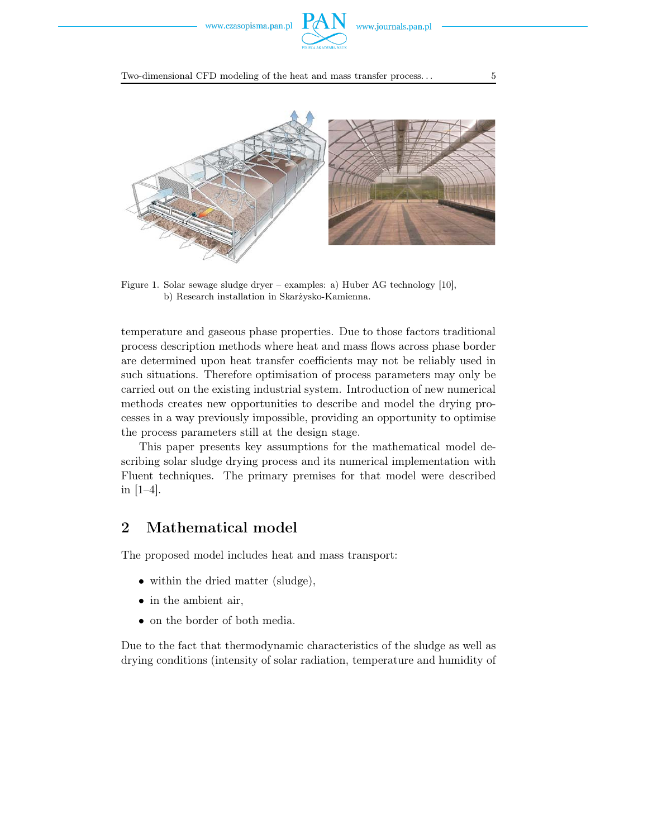

Two-dimensional CFD modeling of the heat and mass transfer process... 55



Figure 1. Solar sewage sludge dryer – examples: a) Huber AG technology [10], b) Research installation in Skarżysko-Kamienna.

temperature and gaseous phase properties. Due to those factors traditional process description methods where heat and mass flows across phase border are determined upon heat transfer coefficients may not be reliably used in such situations. Therefore optimisation of process parameters may only be carried out on the existing industrial system. Introduction of new numerical methods creates new opportunities to describe and model the drying processes in a way previously impossible, providing an opportunity to optimise the process parameters still at the design stage.

This paper presents key assumptions for the mathematical model describing solar sludge drying process and its numerical implementation with Fluent techniques. The primary premises for that model were described in [1–4].

## 2 Mathematical model

The proposed model includes heat and mass transport:

- within the dried matter (sludge),
- *•* in the ambient air,
- on the border of both media.

Due to the fact that thermodynamic characteristics of the sludge as well as drying conditions (intensity of solar radiation, temperature and humidity of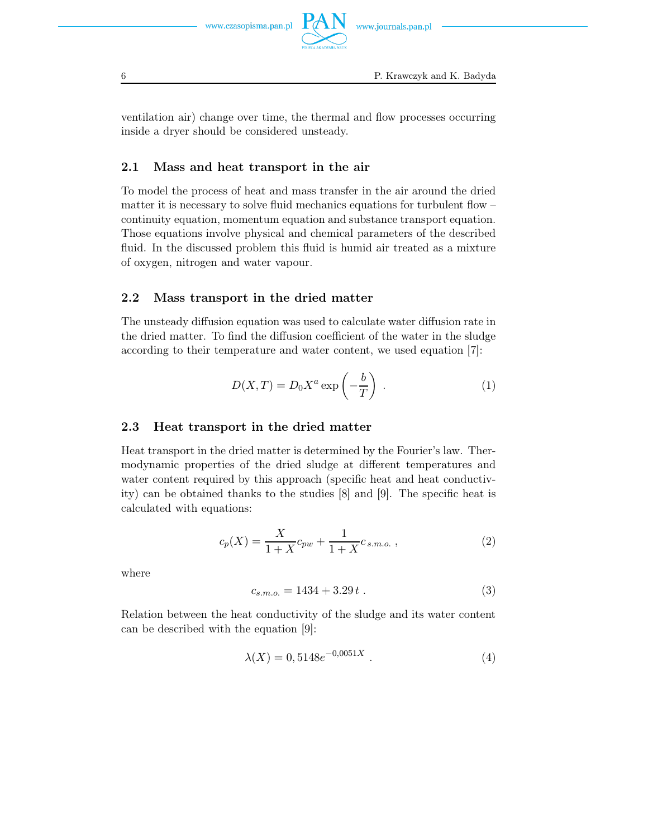

ventilation air) change over time, the thermal and flow processes occurring inside a dryer should be considered unsteady.

## 2.1 Mass and heat transport in the air

To model the process of heat and mass transfer in the air around the dried matter it is necessary to solve fluid mechanics equations for turbulent flow – continuity equation, momentum equation and substance transport equation. Those equations involve physical and chemical parameters of the described fluid. In the discussed problem this fluid is humid air treated as a mixture of oxygen, nitrogen and water vapour.

### 2.2 Mass transport in the dried matter

The unsteady diffusion equation was used to calculate water diffusion rate in the dried matter. To find the diffusion coefficient of the water in the sludge according to their temperature and water content, we used equation [7]:

$$
D(X,T) = D_0 X^a \exp\left(-\frac{b}{T}\right) \tag{1}
$$

### 2.3 Heat transport in the dried matter

Heat transport in the dried matter is determined by the Fourier's law. Thermodynamic properties of the dried sludge at different temperatures and water content required by this approach (specific heat and heat conductivity) can be obtained thanks to the studies [8] and [9]. The specific heat is calculated with equations:

$$
c_p(X) = \frac{X}{1+X}c_{pw} + \frac{1}{1+X}c_{s.m.o.},
$$
\n(2)

where

$$
c_{s.m.o.} = 1434 + 3.29 t . \t\t(3)
$$

Relation between the heat conductivity of the sludge and its water content can be described with the equation [9]:

$$
\lambda(X) = 0,5148e^{-0,0051X} . \tag{4}
$$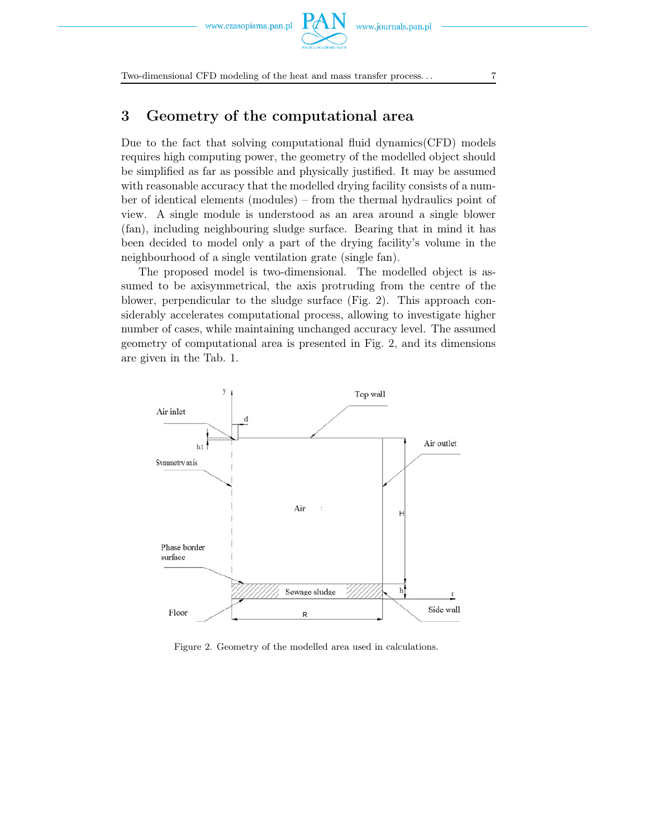Two-dimensional CFD modeling of the heat and mass transfer process... 7

## 3 Geometry of the computational area

Due to the fact that solving computational fluid dynamics(CFD) models requires high computing power, the geometry of the modelled object should be simplified as far as possible and physically justified. It may be assumed with reasonable accuracy that the modelled drying facility consists of a number of identical elements (modules) – from the thermal hydraulics point of view. A single module is understood as an area around a single blower (fan), including neighbouring sludge surface. Bearing that in mind it has been decided to model only a part of the drying facility's volume in the neighbourhood of a single ventilation grate (single fan).

The proposed model is two-dimensional. The modelled object is assumed to be axisymmetrical, the axis protruding from the centre of the blower, perpendicular to the sludge surface (Fig. 2). This approach considerably accelerates computational process, allowing to investigate higher number of cases, while maintaining unchanged accuracy level. The assumed geometry of computational area is presented in Fig. 2, and its dimensions are given in the Tab. 1.



Figure 2. Geometry of the modelled area used in calculations.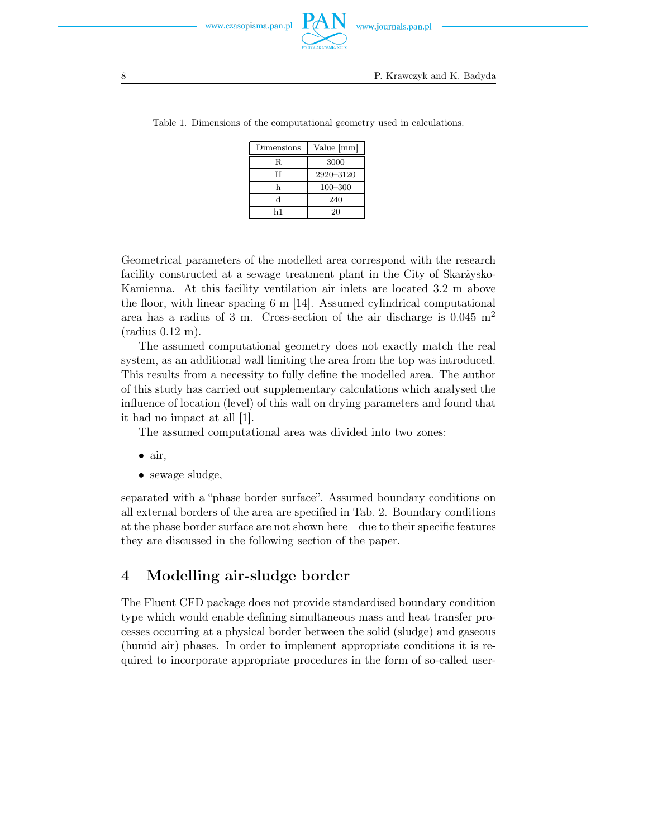

8 P. Krawczyk and K. Badyda

| Dimensions | Value [mm]  |
|------------|-------------|
| R.         | 3000        |
| н          | 2920-3120   |
|            | $100 - 300$ |
|            | 240         |
| h1         | 20          |

Table 1. Dimensions of the computational geometry used in calculations.

Geometrical parameters of the modelled area correspond with the research facility constructed at a sewage treatment plant in the City of Skarżysko-Kamienna. At this facility ventilation air inlets are located 3.2 m above the floor, with linear spacing 6 m [14]. Assumed cylindrical computational area has a radius of 3 m. Cross-section of the air discharge is  $0.045 \text{ m}^2$ (radius 0.12 m).

The assumed computational geometry does not exactly match the real system, as an additional wall limiting the area from the top was introduced. This results from a necessity to fully define the modelled area. The author of this study has carried out supplementary calculations which analysed the influence of location (level) of this wall on drying parameters and found that it had no impact at all [1].

The assumed computational area was divided into two zones:

- *•* air,
- *•* sewage sludge,

separated with a "phase border surface". Assumed boundary conditions on all external borders of the area are specified in Tab. 2. Boundary conditions at the phase border surface are not shown here – due to their specific features they are discussed in the following section of the paper.

## 4 Modelling air-sludge border

The Fluent CFD package does not provide standardised boundary condition type which would enable defining simultaneous mass and heat transfer processes occurring at a physical border between the solid (sludge) and gaseous (humid air) phases. In order to implement appropriate conditions it is required to incorporate appropriate procedures in the form of so-called user-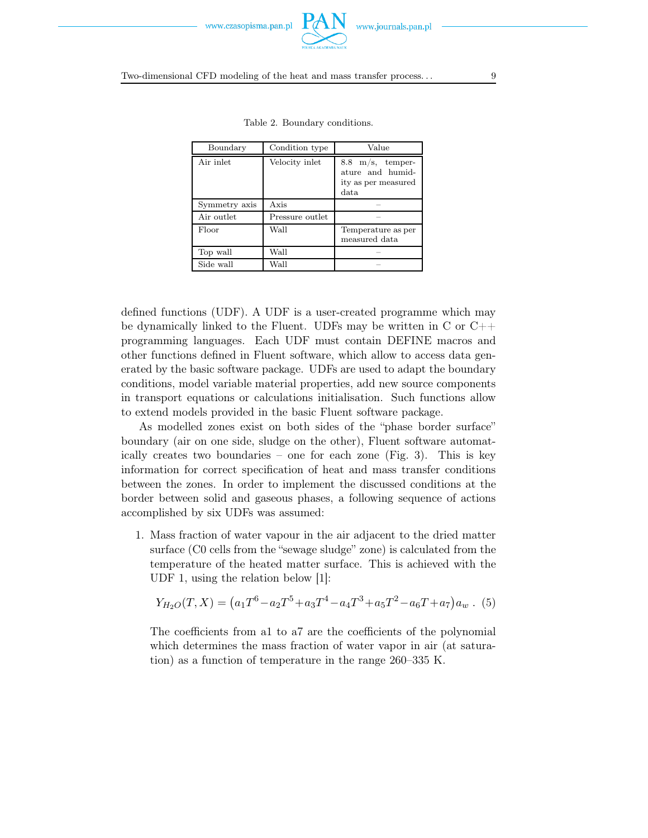

Two-dimensional CFD modeling of the heat and mass transfer process... 99

| Boundary      | Condition type  | Value                                                                          |
|---------------|-----------------|--------------------------------------------------------------------------------|
| Air inlet     | Velocity inlet  | $8.8 \text{ m/s}$ , temper-<br>ature and humid-<br>ity as per measured<br>data |
| Symmetry axis | Axis            |                                                                                |
| Air outlet    | Pressure outlet |                                                                                |
| Floor         | Wall            | Temperature as per<br>measured data                                            |
| Top wall      | Wall            |                                                                                |
| Side wall     | Wall            |                                                                                |

Table 2. Boundary conditions.

defined functions (UDF). A UDF is a user-created programme which may be dynamically linked to the Fluent. UDFs may be written in C or  $C++$ programming languages. Each UDF must contain DEFINE macros and other functions defined in Fluent software, which allow to access data generated by the basic software package. UDFs are used to adapt the boundary conditions, model variable material properties, add new source components in transport equations or calculations initialisation. Such functions allow to extend models provided in the basic Fluent software package.

As modelled zones exist on both sides of the "phase border surface" boundary (air on one side, sludge on the other), Fluent software automatically creates two boundaries – one for each zone (Fig. 3). This is key information for correct specification of heat and mass transfer conditions between the zones. In order to implement the discussed conditions at the border between solid and gaseous phases, a following sequence of actions accomplished by six UDFs was assumed:

1. Mass fraction of water vapour in the air adjacent to the dried matter surface (C0 cells from the "sewage sludge" zone) is calculated from the temperature of the heated matter surface. This is achieved with the UDF 1, using the relation below [1]:

$$
Y_{H_2O}(T,X) = (a_1T^6 - a_2T^5 + a_3T^4 - a_4T^3 + a_5T^2 - a_6T + a_7)a_w
$$
 (5)

The coefficients from a1 to a7 are the coefficients of the polynomial which determines the mass fraction of water vapor in air (at saturation) as a function of temperature in the range 260–335 K.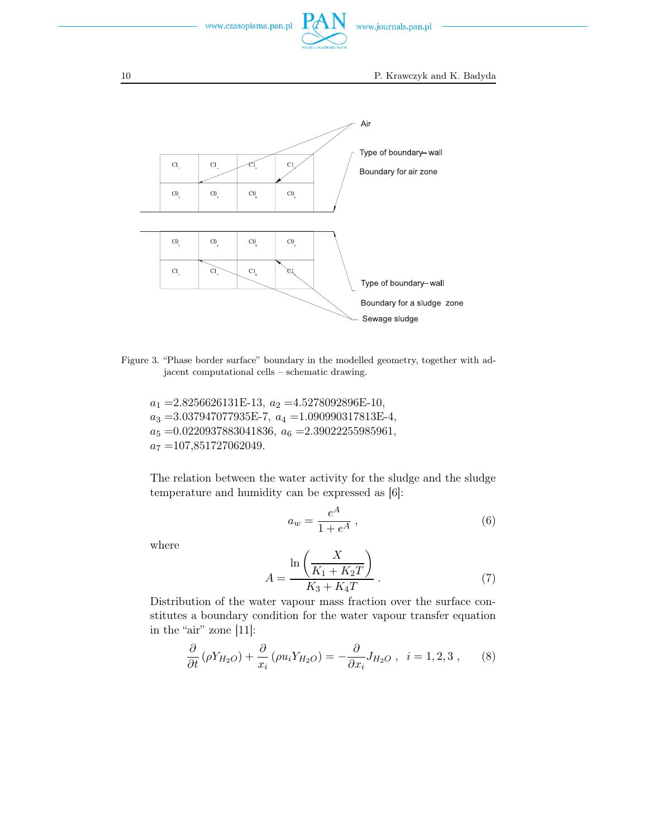

10 P. Krawczyk and K. Badyda



Figure 3. "Phase border surface" boundary in the modelled geometry, together with adjacent computational cells – schematic drawing.

 $a_1 = 2.8256626131E-13$ ,  $a_2 = 4.5278092896E-10$ ,  $a_3 = 3.037947077935E-7, a_4 = 1.090990317813E-4,$  $a_5 = 0.0220937883041836, a_6 = 2.39022255985961,$  $a_7 = 107,851727062049.$ 

The relation between the water activity for the sludge and the sludge temperature and humidity can be expressed as [6]:

$$
a_w = \frac{e^A}{1 + e^A} \,,\tag{6}
$$

where

$$
A = \frac{\ln\left(\frac{X}{K_1 + K_2 T}\right)}{K_3 + K_4 T} \,. \tag{7}
$$

Distribution of the water vapour mass fraction over the surface constitutes a boundary condition for the water vapour transfer equation in the "air" zone [11]:

$$
\frac{\partial}{\partial t} \left( \rho Y_{H_2O} \right) + \frac{\partial}{x_i} \left( \rho u_i Y_{H_2O} \right) = -\frac{\partial}{\partial x_i} J_{H_2O} , \quad i = 1, 2, 3 , \quad (8)
$$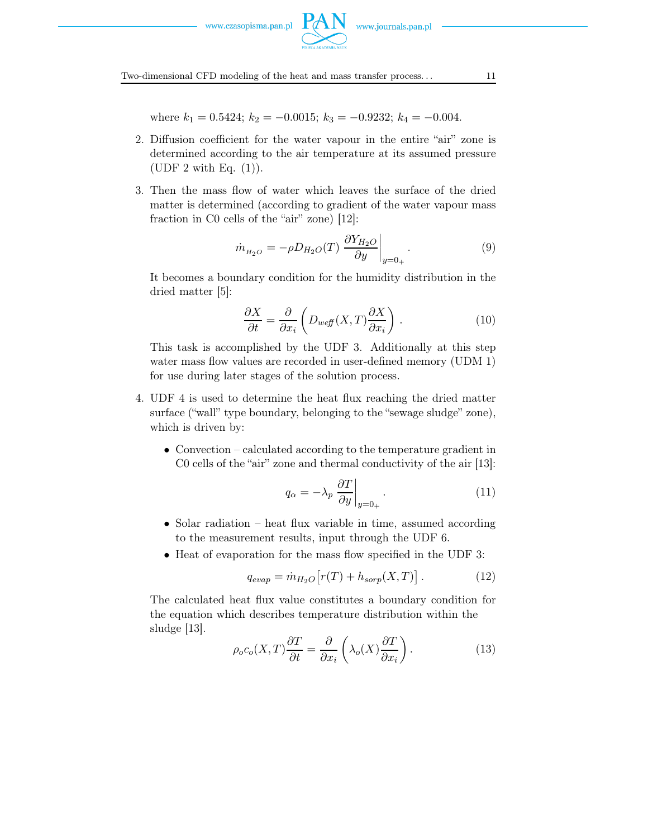

Two-dimensional CFD modeling of the heat and mass transfer process. . . 11

where  $k_1 = 0.5424$ ;  $k_2 = -0.0015$ ;  $k_3 = -0.9232$ ;  $k_4 = -0.004$ .

- 2. Diffusion coefficient for the water vapour in the entire "air" zone is determined according to the air temperature at its assumed pressure (UDF 2 with Eq.  $(1)$ ).
- 3. Then the mass flow of water which leaves the surface of the dried matter is determined (according to gradient of the water vapour mass fraction in C0 cells of the "air" zone) [12]:

$$
\dot{m}_{H_2O} = -\rho D_{H_2O}(T) \left. \frac{\partial Y_{H_2O}}{\partial y} \right|_{y=0_+} . \tag{9}
$$

It becomes a boundary condition for the humidity distribution in the dried matter [5]:

$$
\frac{\partial X}{\partial t} = \frac{\partial}{\partial x_i} \left( D_{w \text{eff}}(X, T) \frac{\partial X}{\partial x_i} \right) . \tag{10}
$$

This task is accomplished by the UDF 3. Additionally at this step water mass flow values are recorded in user-defined memory (UDM 1) for use during later stages of the solution process.

- 4. UDF 4 is used to determine the heat flux reaching the dried matter surface ("wall" type boundary, belonging to the "sewage sludge" zone), which is driven by:
	- Convection calculated according to the temperature gradient in C0 cells of the "air" zone and thermal conductivity of the air [13]:

$$
q_{\alpha} = -\lambda_p \left. \frac{\partial T}{\partial y} \right|_{y=0_+} . \tag{11}
$$

- Solar radiation heat flux variable in time, assumed according to the measurement results, input through the UDF 6.
- Heat of evaporation for the mass flow specified in the UDF 3:

$$
q_{evap} = \dot{m}_{H_2O} \left[ r(T) + h_{sorp}(X, T) \right]. \tag{12}
$$

The calculated heat flux value constitutes a boundary condition for the equation which describes temperature distribution within the sludge [13].

$$
\rho_o c_o(X,T) \frac{\partial T}{\partial t} = \frac{\partial}{\partial x_i} \left( \lambda_o(X) \frac{\partial T}{\partial x_i} \right).
$$
 (13)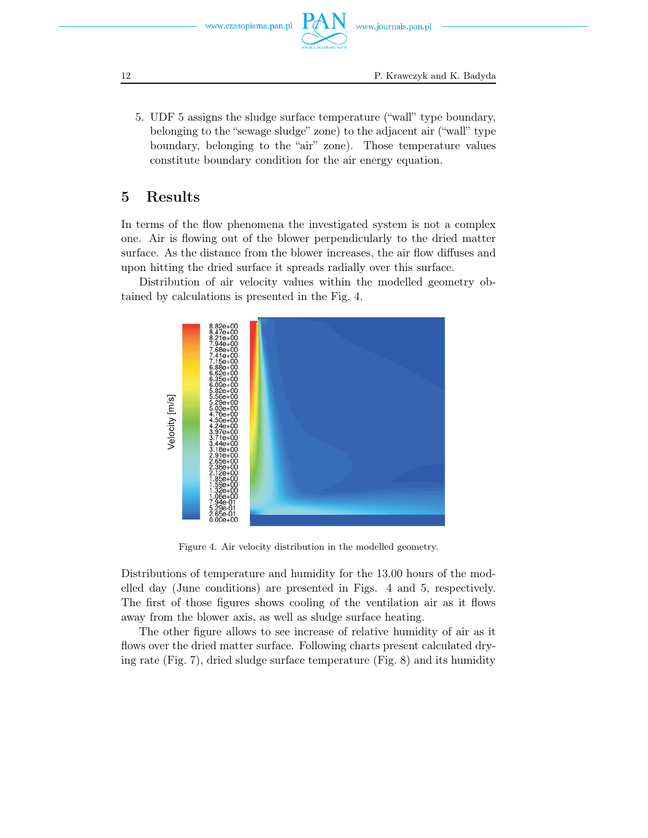5. UDF 5 assigns the sludge surface temperature ("wall" type boundary, belonging to the "sewage sludge" zone) to the adjacent air ("wall" type boundary, belonging to the "air" zone). Those temperature values constitute boundary condition for the air energy equation.

## 5 Results

In terms of the flow phenomena the investigated system is not a complex one. Air is flowing out of the blower perpendicularly to the dried matter surface. As the distance from the blower increases, the air flow diffuses and upon hitting the dried surface it spreads radially over this surface.

Distribution of air velocity values within the modelled geometry obtained by calculations is presented in the Fig. 4.



Figure 4. Air velocity distribution in the modelled geometry.

Distributions of temperature and humidity for the 13.00 hours of the modelled day (June conditions) are presented in Figs. 4 and 5, respectively. The first of those figures shows cooling of the ventilation air as it flows away from the blower axis, as well as sludge surface heating.

The other figure allows to see increase of relative humidity of air as it flows over the dried matter surface. Following charts present calculated drying rate (Fig. 7), dried sludge surface temperature (Fig. 8) and its humidity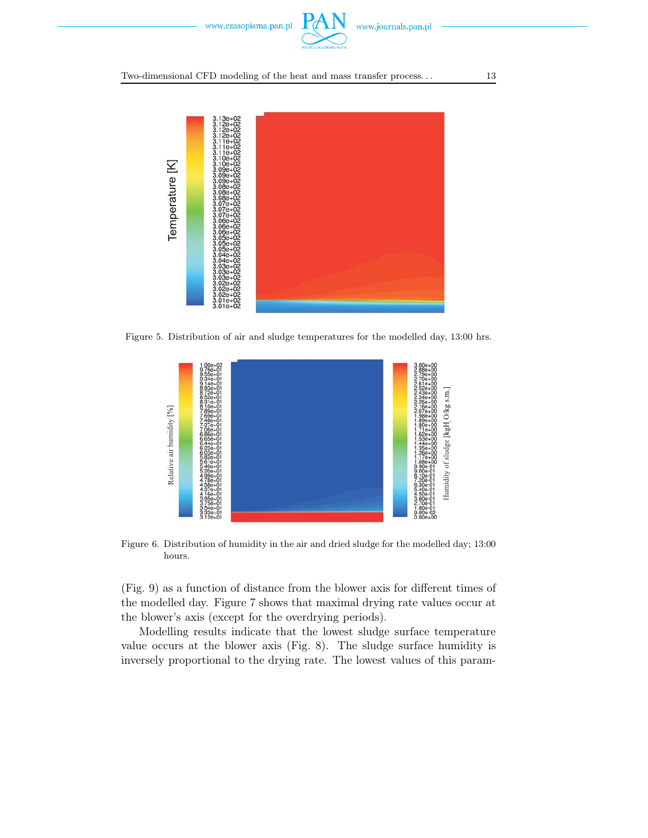

### Two-dimensional CFD modeling of the heat and mass transfer process. . . 13



Figure 5. Distribution of air and sludge temperatures for the modelled day, 13:00 hrs.



Figure 6. Distribution of humidity in the air and dried sludge for the modelled day; 13:00 hours.

(Fig. 9) as a function of distance from the blower axis for different times of the modelled day. Figure 7 shows that maximal drying rate values occur at the blower's axis (except for the overdrying periods).

Modelling results indicate that the lowest sludge surface temperature value occurs at the blower axis (Fig. 8). The sludge surface humidity is inversely proportional to the drying rate. The lowest values of this param-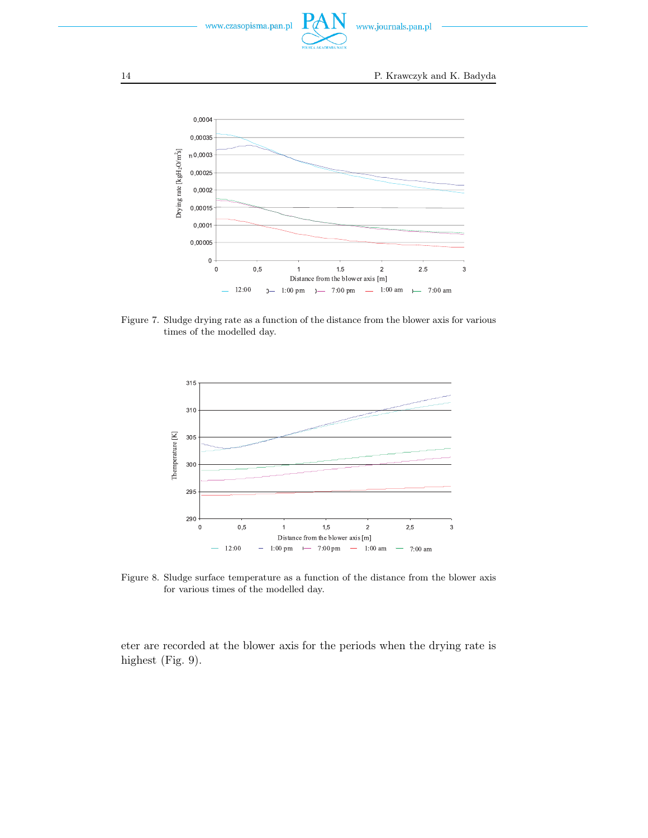

14 P. Krawczyk and K. Badyda  $0,0004$ 0,00035 Drying rate  $\left[\mathrm{kgH_2O/m^2s}\right]$  $n^{0,0003}$  $0,00025$  $0,0002$ 0,00015  $0,0001$ 0,00005  $\mathbf 0$  $\mathbf 0$  $0,5$  $1.5$  $\overline{c}$  $2.5$  $\overline{3}$  $\overline{1}$ Distance from the blower axis [m]  $12:00$  $0 - 1:00 \text{ pm}$   $) - 7:00 \text{ pm}$   $1\mathord{:}00$ am  $\rightarrow$  7:00 am

Figure 7. Sludge drying rate as a function of the distance from the blower axis for various times of the modelled day.



Figure 8. Sludge surface temperature as a function of the distance from the blower axis for various times of the modelled day.

eter are recorded at the blower axis for the periods when the drying rate is highest (Fig. 9).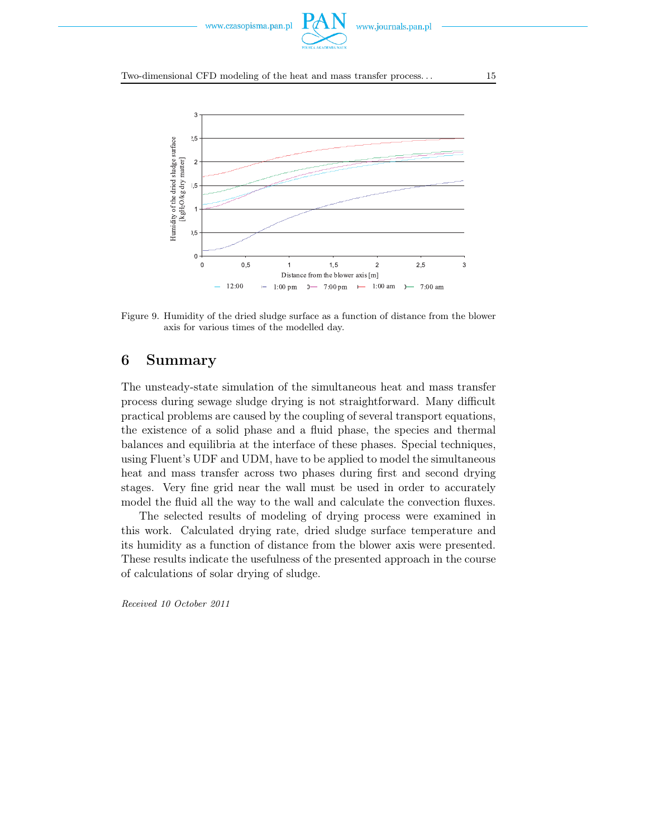

### Two-dimensional CFD modeling of the heat and mass transfer process. . . 15



Figure 9. Humidity of the dried sludge surface as a function of distance from the blower axis for various times of the modelled day.

## 6 Summary

The unsteady-state simulation of the simultaneous heat and mass transfer process during sewage sludge drying is not straightforward. Many difficult practical problems are caused by the coupling of several transport equations, the existence of a solid phase and a fluid phase, the species and thermal balances and equilibria at the interface of these phases. Special techniques, using Fluent's UDF and UDM, have to be applied to model the simultaneous heat and mass transfer across two phases during first and second drying stages. Very fine grid near the wall must be used in order to accurately model the fluid all the way to the wall and calculate the convection fluxes.

The selected results of modeling of drying process were examined in this work. Calculated drying rate, dried sludge surface temperature and its humidity as a function of distance from the blower axis were presented. These results indicate the usefulness of the presented approach in the course of calculations of solar drying of sludge.

*Received 10 October 2011*